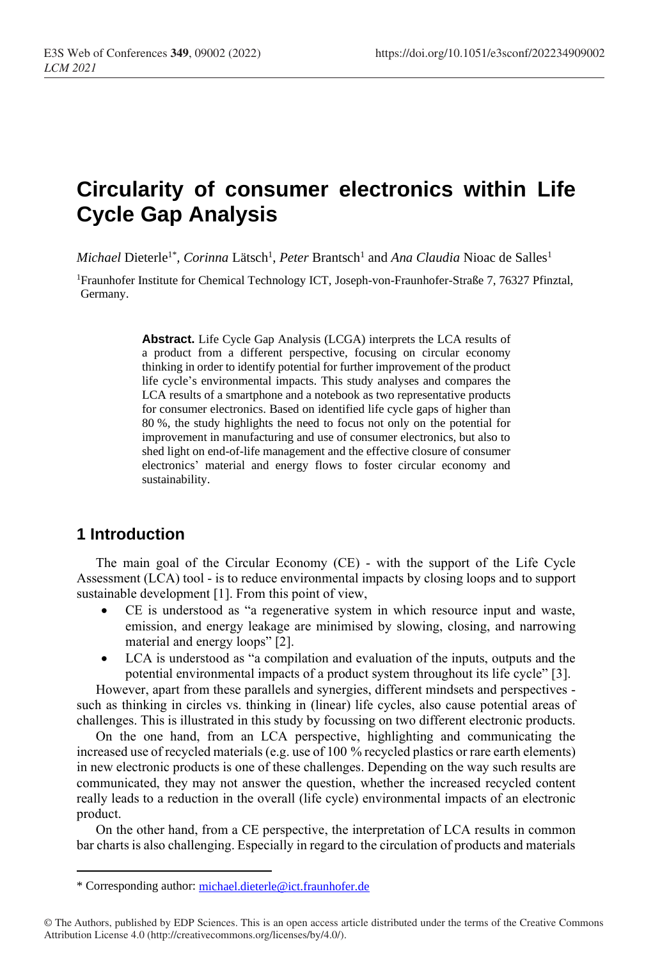# **Circularity of consumer electronics within Life Cycle Gap Analysis**

*Michael Dieterle<sup>1\*</sup>, Corinna Lätsch<sup>1</sup>, Peter Brantsch<sup>1</sup> and <i>Ana Claudia* Nioac de Salles<sup>1</sup>

<sup>1</sup>Fraunhofer Institute for Chemical Technology ICT, Joseph-von-Fraunhofer-Straße 7, 76327 Pfinztal, Germany.

> **Abstract.** Life Cycle Gap Analysis (LCGA) interprets the LCA results of a product from a different perspective, focusing on circular economy thinking in order to identify potential for further improvement of the product life cycle's environmental impacts. This study analyses and compares the LCA results of a smartphone and a notebook as two representative products for consumer electronics. Based on identified life cycle gaps of higher than 80 %, the study highlights the need to focus not only on the potential for improvement in manufacturing and use of consumer electronics, but also to shed light on end-of-life management and the effective closure of consumer electronics' material and energy flows to foster circular economy and sustainability.

## **1 Introduction**

The main goal of the Circular Economy (CE) - with the support of the Life Cycle Assessment (LCA) tool - is to reduce environmental impacts by closing loops and to support sustainable development [1]. From this point of view,

- CE is understood as "a regenerative system in which resource input and waste, emission, and energy leakage are minimised by slowing, closing, and narrowing material and energy loops" [2].
- LCA is understood as "a compilation and evaluation of the inputs, outputs and the potential environmental impacts of a product system throughout its life cycle" [3].

However, apart from these parallels and synergies, different mindsets and perspectives such as thinking in circles vs. thinking in (linear) life cycles, also cause potential areas of challenges. This is illustrated in this study by focussing on two different electronic products.

On the one hand, from an LCA perspective, highlighting and communicating the increased use of recycled materials (e.g. use of 100 % recycled plastics or rare earth elements) in new electronic products is one of these challenges. Depending on the way such results are communicated, they may not answer the question, whether the increased recycled content really leads to a reduction in the overall (life cycle) environmental impacts of an electronic product.

On the other hand, from a CE perspective, the interpretation of LCA results in common bar charts is also challenging. Especially in regard to the circulation of products and materials

<sup>\*</sup> Corresponding author: [michael.dieterle@ict.fraunhofer.de](mailto:michael.dieterle@ict.fraunhofer.de)

<sup>©</sup> The Authors, published by EDP Sciences. This is an open access article distributed under the terms of the Creative Commons Attribution License 4.0 (http://creativecommons.org/licenses/by/4.0/).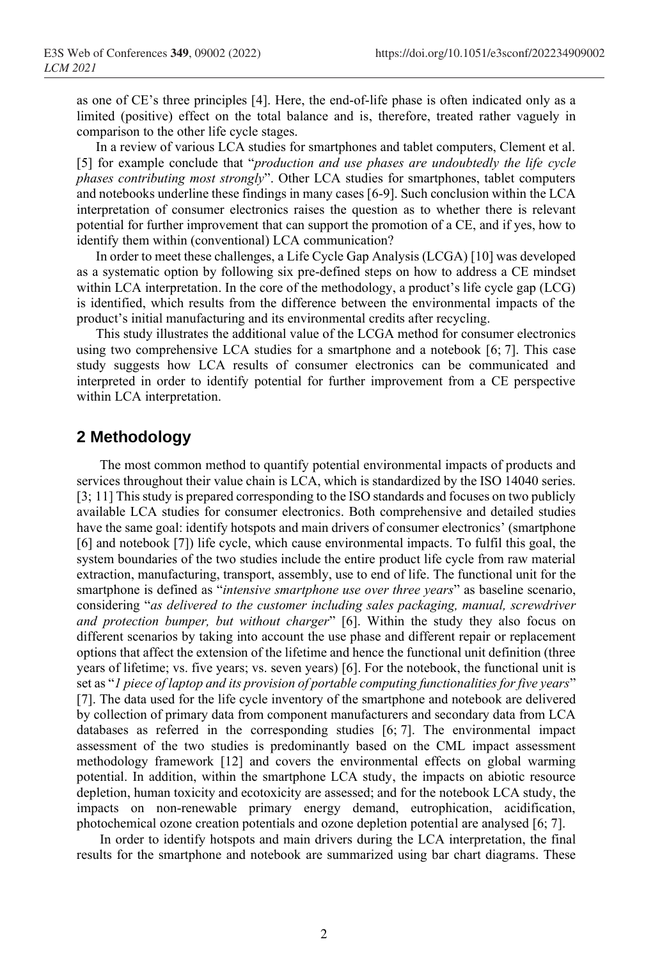as one of CE's three principles [4]. Here, the end-of-life phase is often indicated only as a limited (positive) effect on the total balance and is, therefore, treated rather vaguely in comparison to the other life cycle stages.

In a review of various LCA studies for smartphones and tablet computers, Clement et al. [5] for example conclude that "*production and use phases are undoubtedly the life cycle phases contributing most strongly*". Other LCA studies for smartphones, tablet computers and notebooks underline these findings in many cases [6-9]. Such conclusion within the LCA interpretation of consumer electronics raises the question as to whether there is relevant potential for further improvement that can support the promotion of a CE, and if yes, how to identify them within (conventional) LCA communication?

In order to meet these challenges, a Life Cycle Gap Analysis (LCGA) [10] was developed as a systematic option by following six pre-defined steps on how to address a CE mindset within LCA interpretation. In the core of the methodology, a product's life cycle gap (LCG) is identified, which results from the difference between the environmental impacts of the product's initial manufacturing and its environmental credits after recycling.

This study illustrates the additional value of the LCGA method for consumer electronics using two comprehensive LCA studies for a smartphone and a notebook [6; 7]. This case study suggests how LCA results of consumer electronics can be communicated and interpreted in order to identify potential for further improvement from a CE perspective within LCA interpretation.

## **2 Methodology**

The most common method to quantify potential environmental impacts of products and services throughout their value chain is LCA, which is standardized by the ISO 14040 series. [3; 11] This study is prepared corresponding to the ISO standards and focuses on two publicly available LCA studies for consumer electronics. Both comprehensive and detailed studies have the same goal: identify hotspots and main drivers of consumer electronics' (smartphone [6] and notebook [7]) life cycle, which cause environmental impacts. To fulfil this goal, the system boundaries of the two studies include the entire product life cycle from raw material extraction, manufacturing, transport, assembly, use to end of life. The functional unit for the smartphone is defined as "*intensive smartphone use over three years*" as baseline scenario, considering "*as delivered to the customer including sales packaging, manual, screwdriver and protection bumper, but without charger*" [6]. Within the study they also focus on different scenarios by taking into account the use phase and different repair or replacement options that affect the extension of the lifetime and hence the functional unit definition (three years of lifetime; vs. five years; vs. seven years) [6]. For the notebook, the functional unit is set as "*1 piece of laptop and its provision of portable computing functionalities for five years*" [7]. The data used for the life cycle inventory of the smartphone and notebook are delivered by collection of primary data from component manufacturers and secondary data from LCA databases as referred in the corresponding studies [6; 7]. The environmental impact assessment of the two studies is predominantly based on the CML impact assessment methodology framework [12] and covers the environmental effects on global warming potential. In addition, within the smartphone LCA study, the impacts on abiotic resource depletion, human toxicity and ecotoxicity are assessed; and for the notebook LCA study, the impacts on non-renewable primary energy demand, eutrophication, acidification, photochemical ozone creation potentials and ozone depletion potential are analysed [6; 7].

In order to identify hotspots and main drivers during the LCA interpretation, the final results for the smartphone and notebook are summarized using bar chart diagrams. These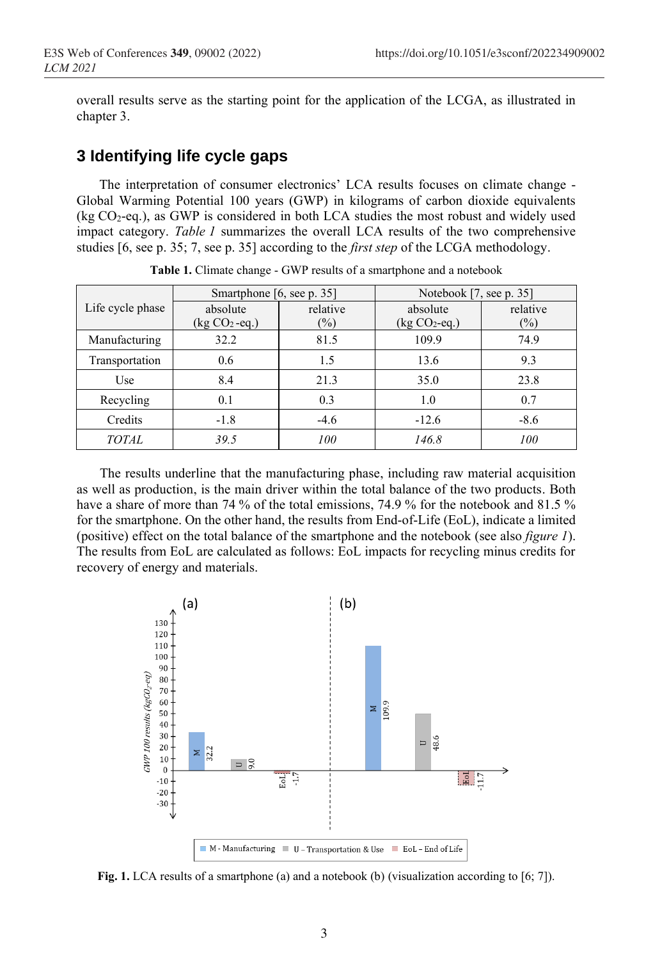overall results serve as the starting point for the application of the LCGA, as illustrated in chapter 3.

#### **3 Identifying life cycle gaps**

The interpretation of consumer electronics' LCA results focuses on climate change - Global Warming Potential 100 years (GWP) in kilograms of carbon dioxide equivalents (kg  $CO<sub>2</sub>$ -eq.), as GWP is considered in both LCA studies the most robust and widely used impact category. *Table 1* summarizes the overall LCA results of the two comprehensive studies [6, see p. 35; 7, see p. 35] according to the *first step* of the LCGA methodology.

|                  | Smartphone [6, see p. 35] |          | Notebook [7, see p. 35] |          |
|------------------|---------------------------|----------|-------------------------|----------|
| Life cycle phase | absolute                  | relative | absolute                | relative |
|                  | $(kg CO2 - eq.)$          | (%)      | $(kg CO2-eq.)$          | $(\%)$   |
| Manufacturing    | 32.2                      | 81.5     | 109.9                   | 74.9     |
| Transportation   | 0.6                       | 1.5      | 13.6                    | 9.3      |
| Use              | 8.4                       | 21.3     | 35.0                    | 23.8     |
| Recycling        | 0.1                       | 0.3      | 1.0                     | 0.7      |
| Credits          | $-1.8$                    | $-4.6$   | $-12.6$                 | $-8.6$   |
| <b>TOTAL</b>     | 39.5                      | 100      | 146.8                   | 100      |

**Table 1.** Climate change - GWP results of a smartphone and a notebook

The results underline that the manufacturing phase, including raw material acquisition as well as production, is the main driver within the total balance of the two products. Both have a share of more than 74 % of the total emissions, 74.9 % for the notebook and 81.5 % for the smartphone. On the other hand, the results from End-of-Life (EoL), indicate a limited (positive) effect on the total balance of the smartphone and the notebook (see also *figure 1*). The results from EoL are calculated as follows: EoL impacts for recycling minus credits for recovery of energy and materials.



**Fig. 1.** LCA results of a smartphone (a) and a notebook (b) (visualization according to [6; 7]).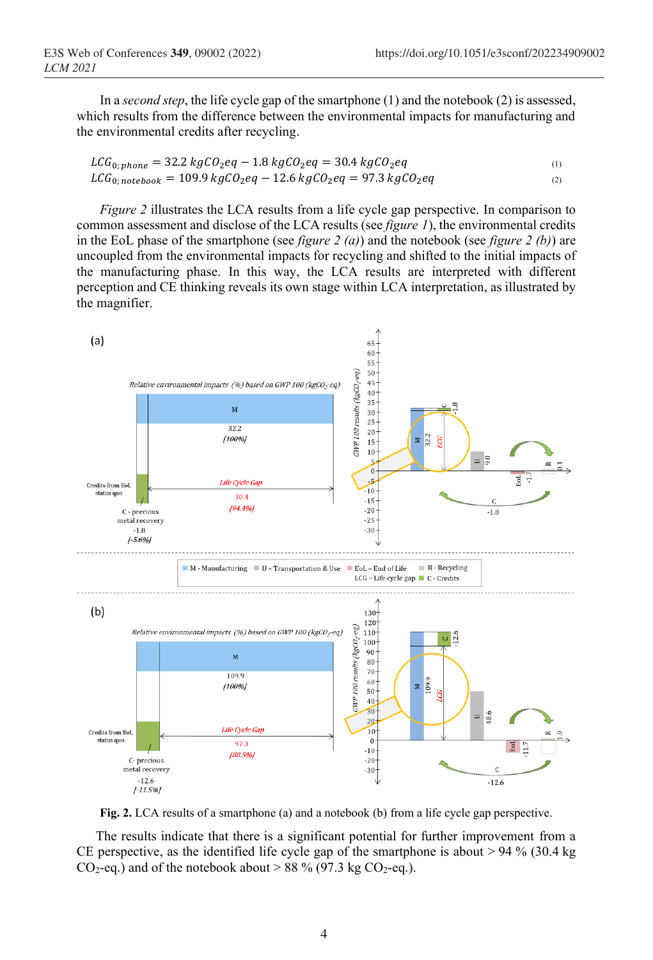In a *second step*, the life cycle gap of the smartphone (1) and the notebook (2) is assessed, which results from the difference between the environmental impacts for manufacturing and the environmental credits after recycling.

$$
LCG_{0; phone} = 32.2 kgCO_2eq - 1.8 kgCO_2eq = 30.4 kgCO_2eq
$$
  
\n
$$
LCG_{0; notebook} = 109.9 kgCO_2eq - 12.6 kgCO_2eq = 97.3 kgCO_2eq
$$
 (1)

*Figure 2* illustrates the LCA results from a life cycle gap perspective. In comparison to common assessment and disclose of the LCA results (see *figure 1*), the environmental credits in the EoL phase of the smartphone (see *figure 2 (a)*) and the notebook (see *figure 2 (b)*) are uncoupled from the environmental impacts for recycling and shifted to the initial impacts of the manufacturing phase. In this way, the LCA results are interpreted with different perception and CE thinking reveals its own stage within LCA interpretation, as illustrated by the magnifier.



**Fig. 2.** LCA results of a smartphone (a) and a notebook (b) from a life cycle gap perspective.

The results indicate that there is a significant potential for further improvement from a CE perspective, as the identified life cycle gap of the smartphone is about  $> 94\%$  (30.4 kg)  $CO_2$ -eq.) and of the notebook about > 88 % (97.3 kg  $CO_2$ -eq.).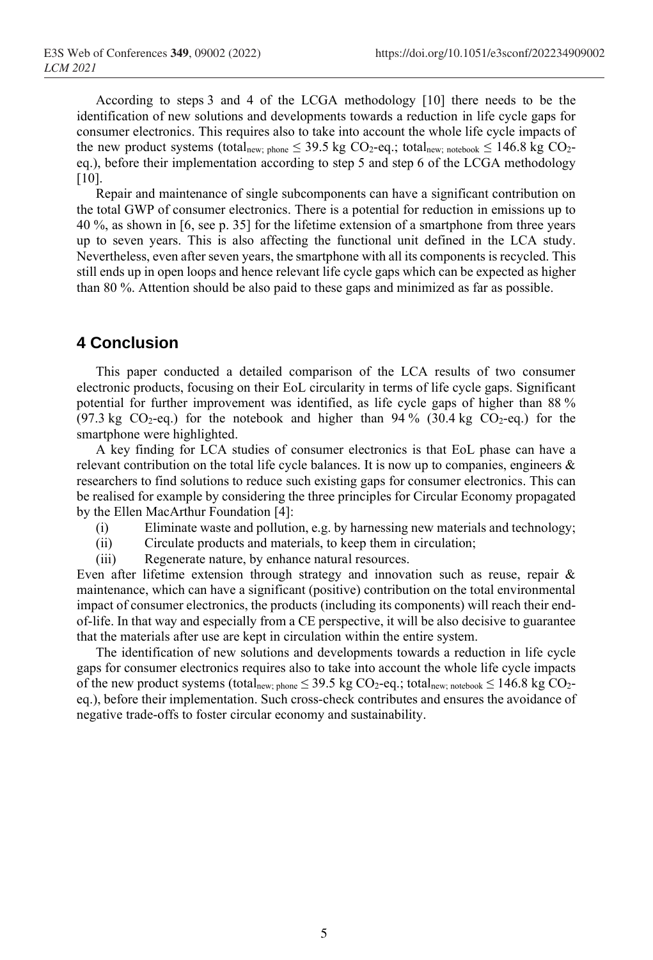According to steps 3 and 4 of the LCGA methodology [10] there needs to be the identification of new solutions and developments towards a reduction in life cycle gaps for consumer electronics. This requires also to take into account the whole life cycle impacts of the new product systems (total<sub>new; phone</sub>  $\leq$  39.5 kg CO<sub>2</sub>-eq.; total<sub>new; notebook</sub>  $\leq$  146.8 kg CO<sub>2</sub>eq.), before their implementation according to step 5 and step 6 of the LCGA methodology [10].

Repair and maintenance of single subcomponents can have a significant contribution on the total GWP of consumer electronics. There is a potential for reduction in emissions up to 40 %, as shown in [6, see p. 35] for the lifetime extension of a smartphone from three years up to seven years. This is also affecting the functional unit defined in the LCA study. Nevertheless, even after seven years, the smartphone with all its components is recycled. This still ends up in open loops and hence relevant life cycle gaps which can be expected as higher than 80 %. Attention should be also paid to these gaps and minimized as far as possible.

## **4 Conclusion**

This paper conducted a detailed comparison of the LCA results of two consumer electronic products, focusing on their EoL circularity in terms of life cycle gaps. Significant potential for further improvement was identified, as life cycle gaps of higher than 88 % (97.3 kg CO<sub>2</sub>-eq.) for the notebook and higher than 94 % (30.4 kg CO<sub>2</sub>-eq.) for the smartphone were highlighted.

A key finding for LCA studies of consumer electronics is that EoL phase can have a relevant contribution on the total life cycle balances. It is now up to companies, engineers & researchers to find solutions to reduce such existing gaps for consumer electronics. This can be realised for example by considering the three principles for Circular Economy propagated by the Ellen MacArthur Foundation [4]:

- (i) Eliminate waste and pollution, e.g. by harnessing new materials and technology;
- (ii) Circulate products and materials, to keep them in circulation;
- (iii) Regenerate nature, by enhance natural resources.

Even after lifetime extension through strategy and innovation such as reuse, repair & maintenance, which can have a significant (positive) contribution on the total environmental impact of consumer electronics, the products (including its components) will reach their endof-life. In that way and especially from a CE perspective, it will be also decisive to guarantee that the materials after use are kept in circulation within the entire system.

The identification of new solutions and developments towards a reduction in life cycle gaps for consumer electronics requires also to take into account the whole life cycle impacts of the new product systems (total<sub>new; phone</sub>  $\leq$  39.5 kg CO<sub>2</sub>-eq.; total<sub>new; notebook</sub>  $\leq$  146.8 kg CO<sub>2</sub>eq.), before their implementation. Such cross-check contributes and ensures the avoidance of negative trade-offs to foster circular economy and sustainability.